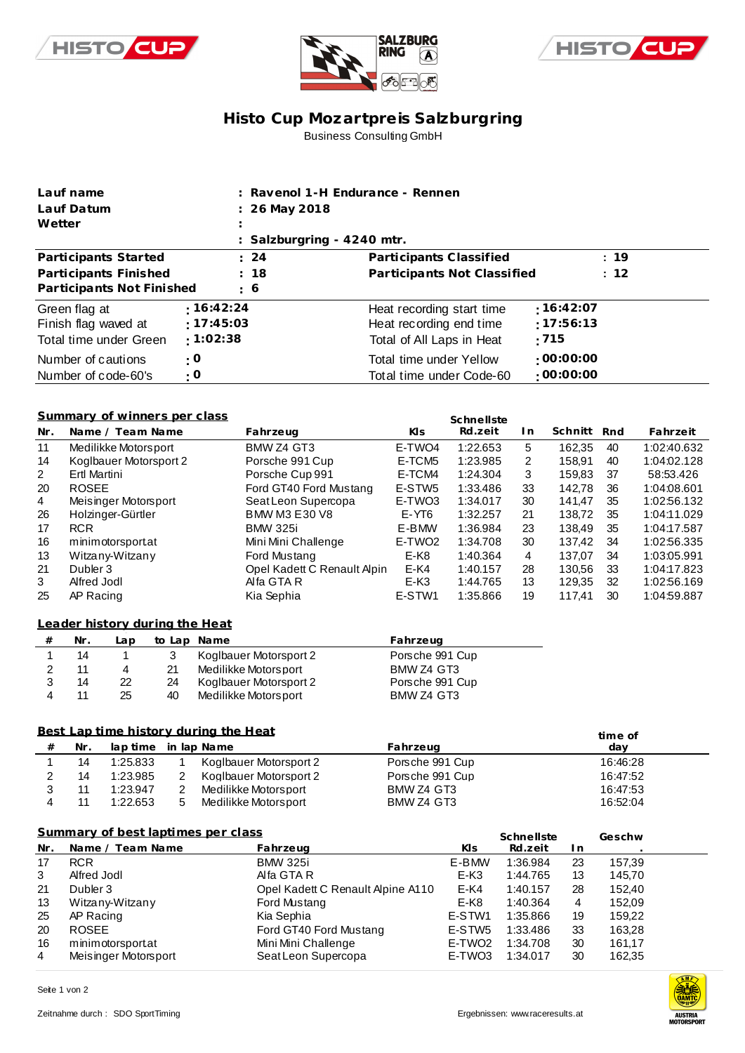





# **Histo Cup Mozartpre is Salzburgring** Business Consulting GmbH

| Lauf name                                                       |                                     | : Ravenol 1-H Endurance - Rennen                                                  |                                  |
|-----------------------------------------------------------------|-------------------------------------|-----------------------------------------------------------------------------------|----------------------------------|
| Lauf Datum                                                      | $: 26$ May 2018                     |                                                                                   |                                  |
| Wetter                                                          |                                     |                                                                                   |                                  |
|                                                                 |                                     | : Salzburgring $-4240$ mtr.                                                       |                                  |
| Participants Started                                            | $\therefore$ 24                     | Participants Classified                                                           | : 19                             |
| Participants Finished                                           | : 18                                | Participants Not Classified                                                       | : 12                             |
| Participants Not Finished                                       | $\frac{1}{2}$ 6                     |                                                                                   |                                  |
| Green flag at<br>Finish flag waved at<br>Total time under Green | : 16:42:24<br>:17:45:03<br>:1:02:38 | Heat recording start time<br>Heat recording end time<br>Total of All Laps in Heat | :16:42:07<br>$-17:56:13$<br>:715 |
| Number of cautions<br>Number of code-60's                       | : 0<br>$\cdot$ O                    | Total time under Yellow<br>Total time under Code-60                               | $\cdot$ 00:00:00<br>:00:00:00    |

#### **Summary of winners per class**

|                | Summary of winners per class |                             |                    | Schnellste |     |         |     |             |
|----------------|------------------------------|-----------------------------|--------------------|------------|-----|---------|-----|-------------|
| Nr.            | Name / Team Name             | Fahrzeug                    | KIs.               | Rd.zeit    | l n | Schnitt | Rnd | Fahrzeit    |
| 11             | Medilikke Motorsport         | BMW Z4 GT3                  | E-TWO4             | 1:22.653   | 5   | 162.35  | 40  | 1:02:40.632 |
| 14             | Koglbauer Motorsport 2       | Porsche 991 Cup             | E-TCM5             | 1:23.985   | 2   | 158.91  | 40  | 1:04:02.128 |
| $\overline{2}$ | Ertl Martini                 | Porsche Cup 991             | E-TCM4             | 1:24.304   | 3   | 159.83  | -37 | 58:53.426   |
| 20             | <b>ROSEE</b>                 | Ford GT40 Ford Mustang      | E-STW5             | 1:33.486   | 33  | 142.78  | 36  | 1:04:08.601 |
| $\overline{4}$ | Meisinger Motorsport         | Seat Leon Supercopa         | E-TWO3             | 1:34.017   | 30  | 141.47  | 35  | 1:02:56.132 |
| 26             | Holzinger-Gürtler            | <b>BMW M3 E30 V8</b>        | E-YT <sub>6</sub>  | 1:32.257   | 21  | 138.72  | 35  | 1:04:11.029 |
| 17             | <b>RCR</b>                   | <b>BMW 325i</b>             | E-BMW              | 1:36.984   | 23  | 138.49  | 35  | 1:04:17.587 |
| 16             | minimotorsportat             | Mini Mini Challenge         | E-TWO <sub>2</sub> | 1:34.708   | 30  | 137.42  | 34  | 1:02:56.335 |
| 13             | Witzany-Witzany              | Ford Mustang                | $E-K8$             | 1:40.364   | 4   | 137.07  | 34  | 1:03:05.991 |
| 21             | Dubler 3                     | Opel Kadett C Renault Alpin | $E-K4$             | 1:40.157   | 28  | 130.56  | 33  | 1:04:17.823 |
| 3              | Alfred Jodl                  | Alfa GTA R                  | $E-K3$             | 1:44.765   | 13  | 129.35  | 32  | 1:02:56.169 |
| 25             | AP Racing                    | Kia Sephia                  | E-STW1             | 1:35.866   | 19  | 117.41  | 30  | 1:04:59.887 |

### **from Leader history dur ing the Heat**

| # | Nr. | Lap | to Lap Name |                        | Fahrzeug        |
|---|-----|-----|-------------|------------------------|-----------------|
|   | 14  |     |             | Koglbauer Motorsport 2 | Porsche 991 Cup |
|   |     | 4   | 21          | Medilikke Motorsport   | BMW Z4 GT3      |
|   | 14  | 22  | 24          | Koglbauer Motorsport 2 | Porsche 991 Cup |
|   |     | 25  | 40          | Medilikke Motorsport   | BMW Z4 GT3      |

### **Best Lap time history during the Heat**

|   | Best Lap time history during the Heat<br>time of |                      |   |                        |                 |          |  |  |  |
|---|--------------------------------------------------|----------------------|---|------------------------|-----------------|----------|--|--|--|
| # | Nr.                                              | lap time in lap Name |   |                        | Fahrzeug        | dav      |  |  |  |
|   | 14                                               | 1:25.833             |   | Koglbauer Motorsport 2 | Porsche 991 Cup | 16:46:28 |  |  |  |
|   | 14                                               | 1:23.985             |   | Koglbauer Motorsport 2 | Porsche 991 Cup | 16:47:52 |  |  |  |
|   |                                                  | 1:23.947             |   | Medilikke Motorsport   | BMW Z4 GT3      | 16:47:53 |  |  |  |
|   |                                                  | 1:22.653             | 5 | Medilikke Motorsport   | BMW Z4 GT3      | 16:52:04 |  |  |  |

|                | Summary of best laptimes per class |                                   | Schnellste         |          | Geschw |        |
|----------------|------------------------------------|-----------------------------------|--------------------|----------|--------|--------|
| Nr.            | Name / Team Name                   | Fahrzeug                          | KIs.               | Rd.zeit  | In.    |        |
| 17             | <b>RCR</b>                         | <b>BMW 325i</b>                   | E-BMW              | 1:36.984 | 23     | 157.39 |
| 3              | Alfred Jodl                        | Alfa GTA R                        | E-K3               | 1:44.765 | 13     | 145.70 |
| 21             | Dubler 3                           | Opel Kadett C Renault Alpine A110 | $E-K4$             | 1:40.157 | 28     | 152.40 |
| 13             | Witzany-Witzany                    | Ford Mustang                      | $E-K8$             | 1:40.364 | 4      | 152.09 |
| 25             | AP Racing                          | Kia Sephia                        | E-STW1             | 1:35.866 | 19     | 159.22 |
| 20             | <b>ROSEE</b>                       | Ford GT40 Ford Mustang            | E-STW <sub>5</sub> | 1:33.486 | 33     | 163.28 |
| 16             | minimotorsportat                   | Mini Mini Challenge               | E-TWO <sub>2</sub> | 1:34.708 | 30     | 161.17 |
| $\overline{4}$ | Meisinger Motorsport               | Seat Leon Supercopa               | E-TWO3             | 1:34.017 | 30     | 162,35 |